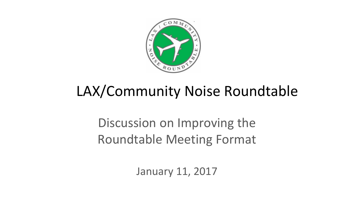

# LAX/Community Noise Roundtable

Discussion on Improving the Roundtable Meeting Format

January 11, 2017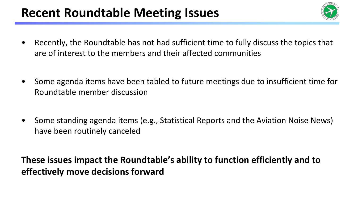## **Recent Roundtable Meeting Issues**



- Recently, the Roundtable has not had sufficient time to fully discuss the topics that are of interest to the members and their affected communities
- Some agenda items have been tabled to future meetings due to insufficient time for Roundtable member discussion
- Some standing agenda items (e.g., Statistical Reports and the Aviation Noise News) have been routinely canceled

**These issues impact the Roundtable's ability to function efficiently and to effectively move decisions forward**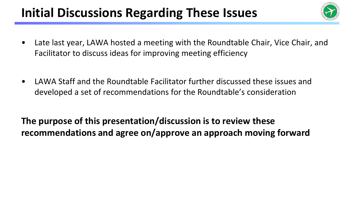# **Initial Discussions Regarding These Issues**



- Late last year, LAWA hosted a meeting with the Roundtable Chair, Vice Chair, and Facilitator to discuss ideas for improving meeting efficiency
- LAWA Staff and the Roundtable Facilitator further discussed these issues and developed a set of recommendations for the Roundtable's consideration

**The purpose of this presentation/discussion is to review these recommendations and agree on/approve an approach moving forward**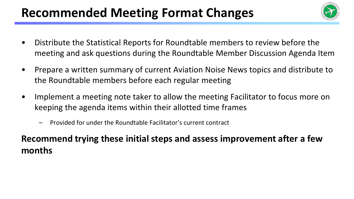# **Recommended Meeting Format Changes**



- Distribute the Statistical Reports for Roundtable members to review before the meeting and ask questions during the Roundtable Member Discussion Agenda Item
- Prepare a written summary of current Aviation Noise News topics and distribute to the Roundtable members before each regular meeting
- Implement a meeting note taker to allow the meeting Facilitator to focus more on keeping the agenda items within their allotted time frames
	- Provided for under the Roundtable Facilitator's current contract

#### **Recommend trying these initial steps and assess improvement after a few months**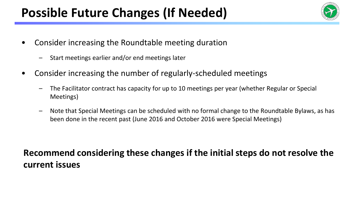# Possible Future Changes (If Needed)



- Consider increasing the Roundtable meeting duration
	- Start meetings earlier and/or end meetings later
- Consider increasing the number of regularly-scheduled meetings
	- The Facilitator contract has capacity for up to 10 meetings per year (whether Regular or Special Meetings)
	- Note that Special Meetings can be scheduled with no formal change to the Roundtable Bylaws, as has been done in the recent past (June 2016 and October 2016 were Special Meetings)

#### **Recommend considering these changes if the initial steps do not resolve the current issues**